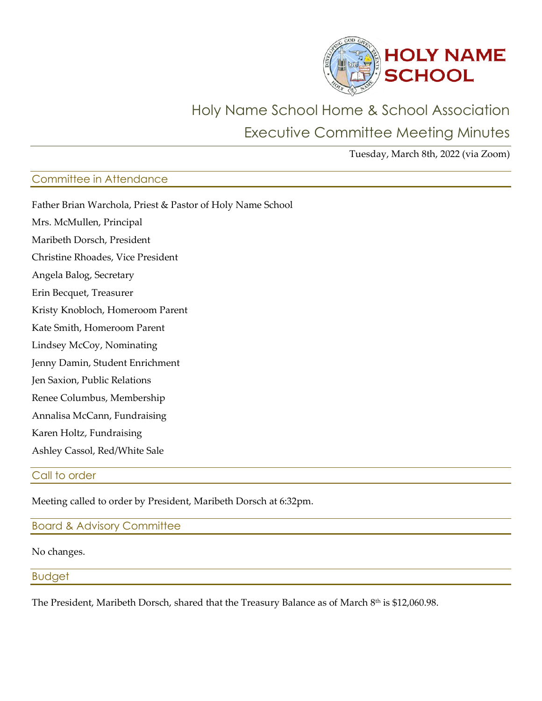

# Holy Name School Home & School Association Executive Committee Meeting Minutes

Tuesday, March 8th, 2022 (via Zoom)

## Committee in Attendance

| Father Brian Warchola, Priest & Pastor of Holy Name School |
|------------------------------------------------------------|
| Mrs. McMullen, Principal                                   |
| Maribeth Dorsch, President                                 |
| Christine Rhoades, Vice President                          |
| Angela Balog, Secretary                                    |
| Erin Becquet, Treasurer                                    |
| Kristy Knobloch, Homeroom Parent                           |
| Kate Smith, Homeroom Parent                                |
| Lindsey McCoy, Nominating                                  |
| Jenny Damin, Student Enrichment                            |
| Jen Saxion, Public Relations                               |
| Renee Columbus, Membership                                 |
| Annalisa McCann, Fundraising                               |
| Karen Holtz, Fundraising                                   |
| Ashley Cassol, Red/White Sale                              |

#### Call to order

Meeting called to order by President, Maribeth Dorsch at 6:32pm.

Board & Advisory Committee

No changes.

Budget

The President, Maribeth Dorsch, shared that the Treasury Balance as of March 8<sup>th</sup> is \$12,060.98.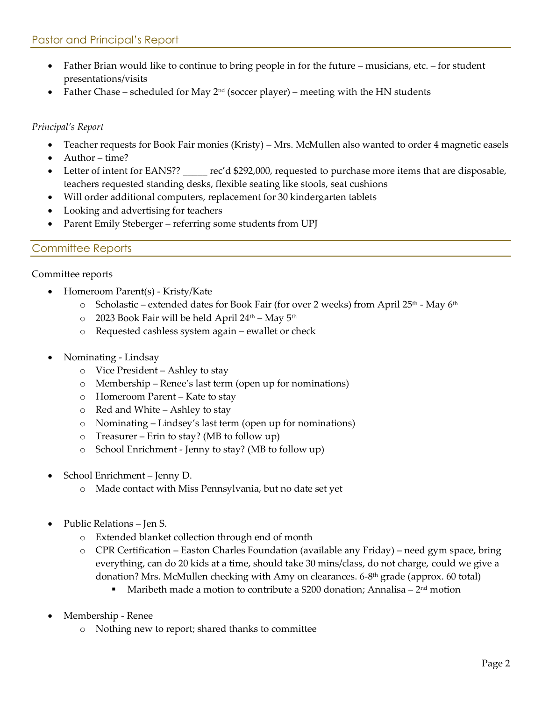### Pastor and Principal's Report

- Father Brian would like to continue to bring people in for the future musicians, etc. for student presentations/visits
- Father Chase scheduled for May  $2<sup>nd</sup>$  (soccer player) meeting with the HN students

#### *Principal's Report*

- Teacher requests for Book Fair monies (Kristy) Mrs. McMullen also wanted to order 4 magnetic easels
- Author time?
- Letter of intent for EANS?? rec'd \$292,000, requested to purchase more items that are disposable, teachers requested standing desks, flexible seating like stools, seat cushions
- Will order additional computers, replacement for 30 kindergarten tablets
- Looking and advertising for teachers
- Parent Emily Steberger referring some students from UPJ

#### Committee Reports

#### Committee reports

- Homeroom Parent(s) Kristy/Kate
	- $\circ$  Scholastic extended dates for Book Fair (for over 2 weeks) from April 25<sup>th</sup> May 6<sup>th</sup>
	- $\circ$  2023 Book Fair will be held April 24<sup>th</sup> May 5<sup>th</sup>
	- o Requested cashless system again ewallet or check
- Nominating Lindsay
	- o Vice President Ashley to stay
	- o Membership Renee's last term (open up for nominations)
	- o Homeroom Parent Kate to stay
	- o Red and White Ashley to stay
	- o Nominating Lindsey's last term (open up for nominations)
	- o Treasurer Erin to stay? (MB to follow up)
	- o School Enrichment Jenny to stay? (MB to follow up)
- School Enrichment Jenny D.
	- o Made contact with Miss Pennsylvania, but no date set yet
- Public Relations Jen S.
	- o Extended blanket collection through end of month
	- o CPR Certification Easton Charles Foundation (available any Friday) need gym space, bring everything, can do 20 kids at a time, should take 30 mins/class, do not charge, could we give a donation? Mrs. McMullen checking with Amy on clearances. 6-8<sup>th</sup> grade (approx. 60 total)
		- **•** Maribeth made a motion to contribute a \$200 donation; Annalisa  $-2^{nd}$  motion
- Membership Renee
	- o Nothing new to report; shared thanks to committee